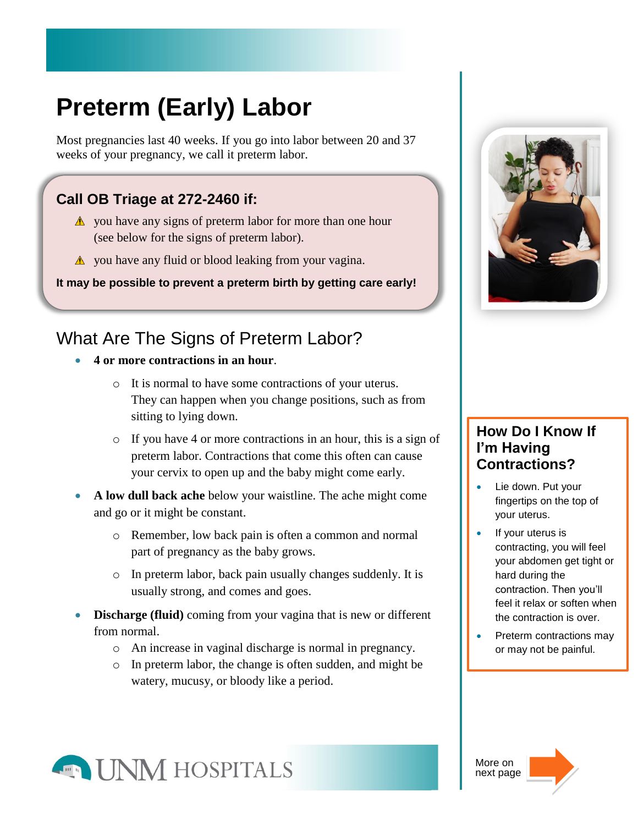# **Preterm (Early) Labor**

Most pregnancies last 40 weeks. If you go into labor between 20 and 37 weeks of your pregnancy, we call it preterm labor.

### **Call OB Triage at 272-2460 if:**

- $\triangle$  you have any signs of preterm labor for more than one hour (see below for the signs of preterm labor).
- $\triangle$  you have any fluid or blood leaking from your vagina.

#### **It may be possible to prevent a preterm birth by getting care early!**

### What Are The Signs of Preterm Labor?

- **4 or more contractions in an hour**.
	- o It is normal to have some contractions of your uterus. They can happen when you change positions, such as from sitting to lying down.
	- o If you have 4 or more contractions in an hour, this is a sign of preterm labor. Contractions that come this often can cause your cervix to open up and the baby might come early.
- **A low dull back ache** below your waistline. The ache might come and go or it might be constant.
	- o Remember, low back pain is often a common and normal part of pregnancy as the baby grows.
	- o In preterm labor, back pain usually changes suddenly. It is usually strong, and comes and goes.
- **Discharge (fluid)** coming from your vagina that is new or different from normal.
	- o An increase in vaginal discharge is normal in pregnancy.
	- o In preterm labor, the change is often sudden, and might be watery, mucusy, or bloody like a period.



#### **How Do I Know If I'm Having Contractions?**

- Lie down. Put your fingertips on the top of your uterus.
- If your uterus is contracting, you will feel your abdomen get tight or hard during the contraction. Then you'll feel it relax or soften when the contraction is over.
- Preterm contractions may or may not be painful.



More on next page